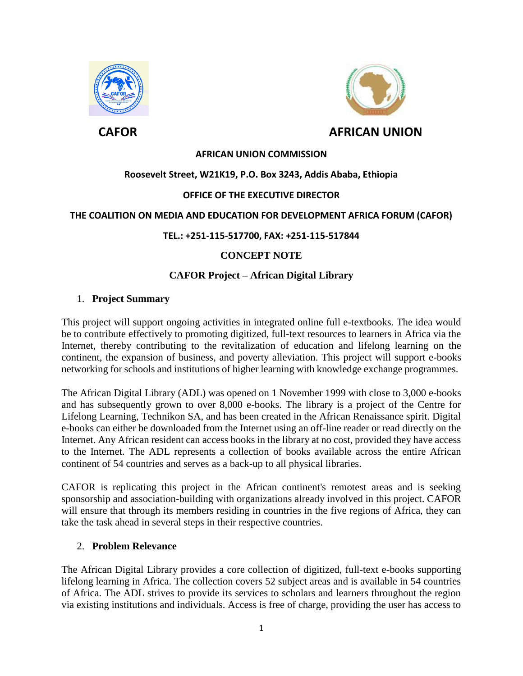



## **AFRICAN UNION COMMISSION**

## **Roosevelt Street, W21K19, P.O. Box 3243, Addis Ababa, Ethiopia**

### **OFFICE OF THE EXECUTIVE DIRECTOR**

#### **THE COALITION ON MEDIA AND EDUCATION FOR DEVELOPMENT AFRICA FORUM (CAFOR)**

#### **TEL.: +251-115-517700, FAX: +251-115-517844**

## **CONCEPT NOTE**

## **CAFOR Project – African Digital Library**

### 1. **Project Summary**

This project will support ongoing activities in integrated online full e-textbooks. The idea would be to contribute effectively to promoting digitized, full-text resources to learners in Africa via the Internet, thereby contributing to the revitalization of education and lifelong learning on the continent, the expansion of business, and poverty alleviation. This project will support e-books networking for schools and institutions of higher learning with knowledge exchange programmes.

The African Digital Library (ADL) was opened on 1 November 1999 with close to 3,000 e-books and has subsequently grown to over 8,000 e-books. The library is a project of the Centre for Lifelong Learning, Technikon SA, and has been created in the African Renaissance spirit. Digital e-books can either be downloaded from the Internet using an off-line reader or read directly on the Internet. Any African resident can access books in the library at no cost, provided they have access to the Internet. The ADL represents a collection of books available across the entire African continent of 54 countries and serves as a back-up to all physical libraries.

CAFOR is replicating this project in the African continent's remotest areas and is seeking sponsorship and association-building with organizations already involved in this project. CAFOR will ensure that through its members residing in countries in the five regions of Africa, they can take the task ahead in several steps in their respective countries.

### 2. **Problem Relevance**

The African Digital Library provides a core collection of digitized, full-text e-books supporting lifelong learning in Africa. The collection covers 52 subject areas and is available in 54 countries of Africa. The ADL strives to provide its services to scholars and learners throughout the region via existing institutions and individuals. Access is free of charge, providing the user has access to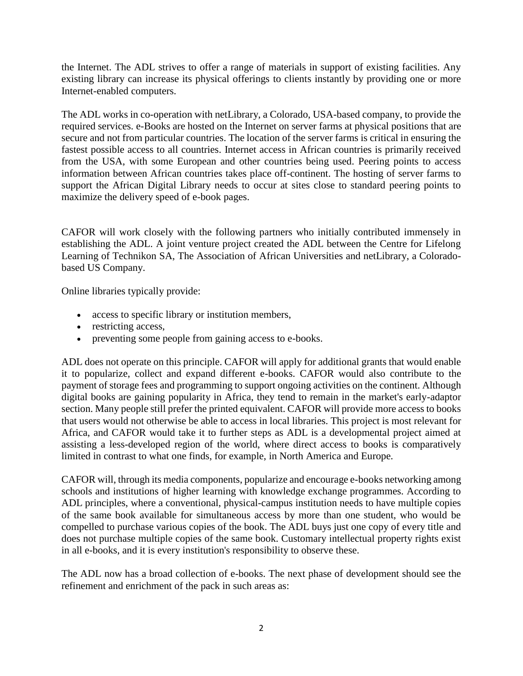the Internet. The ADL strives to offer a range of materials in support of existing facilities. Any existing library can increase its physical offerings to clients instantly by providing one or more Internet-enabled computers.

The ADL works in co-operation with netLibrary, a Colorado, USA-based company, to provide the required services. e-Books are hosted on the Internet on server farms at physical positions that are secure and not from particular countries. The location of the server farms is critical in ensuring the fastest possible access to all countries. Internet access in African countries is primarily received from the USA, with some European and other countries being used. Peering points to access information between African countries takes place off-continent. The hosting of server farms to support the African Digital Library needs to occur at sites close to standard peering points to maximize the delivery speed of e-book pages.

CAFOR will work closely with the following partners who initially contributed immensely in establishing the ADL. A joint venture project created the ADL between the Centre for Lifelong Learning of Technikon SA, The Association of African Universities and netLibrary, a Coloradobased US Company.

Online libraries typically provide:

- access to specific library or institution members,
- restricting access,
- preventing some people from gaining access to e-books.

ADL does not operate on this principle. CAFOR will apply for additional grants that would enable it to popularize, collect and expand different e-books. CAFOR would also contribute to the payment of storage fees and programming to support ongoing activities on the continent. Although digital books are gaining popularity in Africa, they tend to remain in the market's early-adaptor section. Many people still prefer the printed equivalent. CAFOR will provide more access to books that users would not otherwise be able to access in local libraries. This project is most relevant for Africa, and CAFOR would take it to further steps as ADL is a developmental project aimed at assisting a less-developed region of the world, where direct access to books is comparatively limited in contrast to what one finds, for example, in North America and Europe.

CAFOR will, through its media components, popularize and encourage e-books networking among schools and institutions of higher learning with knowledge exchange programmes. According to ADL principles, where a conventional, physical-campus institution needs to have multiple copies of the same book available for simultaneous access by more than one student, who would be compelled to purchase various copies of the book. The ADL buys just one copy of every title and does not purchase multiple copies of the same book. Customary intellectual property rights exist in all e-books, and it is every institution's responsibility to observe these.

The ADL now has a broad collection of e-books. The next phase of development should see the refinement and enrichment of the pack in such areas as: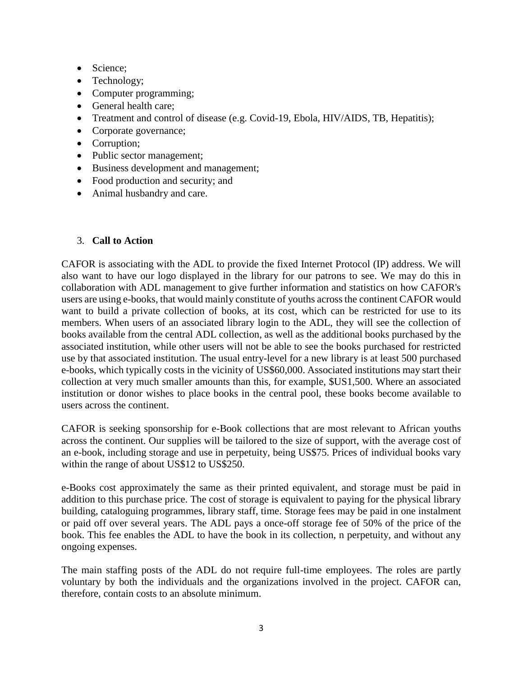- Science;
- Technology;
- Computer programming;
- General health care:
- Treatment and control of disease (e.g. Covid-19, Ebola, HIV/AIDS, TB, Hepatitis);
- Corporate governance;
- Corruption;
- Public sector management;
- Business development and management;
- Food production and security; and
- Animal husbandry and care.

# 3. **Call to Action**

CAFOR is associating with the ADL to provide the fixed Internet Protocol (IP) address. We will also want to have our logo displayed in the library for our patrons to see. We may do this in collaboration with ADL management to give further information and statistics on how CAFOR's users are using e-books, that would mainly constitute of youths across the continent CAFOR would want to build a private collection of books, at its cost, which can be restricted for use to its members. When users of an associated library login to the ADL, they will see the collection of books available from the central ADL collection, as well as the additional books purchased by the associated institution, while other users will not be able to see the books purchased for restricted use by that associated institution. The usual entry-level for a new library is at least 500 purchased e-books, which typically costs in the vicinity of US\$60,000. Associated institutions may start their collection at very much smaller amounts than this, for example, \$US1,500. Where an associated institution or donor wishes to place books in the central pool, these books become available to users across the continent.

CAFOR is seeking sponsorship for e-Book collections that are most relevant to African youths across the continent. Our supplies will be tailored to the size of support, with the average cost of an e-book, including storage and use in perpetuity, being US\$75. Prices of individual books vary within the range of about US\$12 to US\$250.

e-Books cost approximately the same as their printed equivalent, and storage must be paid in addition to this purchase price. The cost of storage is equivalent to paying for the physical library building, cataloguing programmes, library staff, time. Storage fees may be paid in one instalment or paid off over several years. The ADL pays a once-off storage fee of 50% of the price of the book. This fee enables the ADL to have the book in its collection, n perpetuity, and without any ongoing expenses.

The main staffing posts of the ADL do not require full-time employees. The roles are partly voluntary by both the individuals and the organizations involved in the project. CAFOR can, therefore, contain costs to an absolute minimum.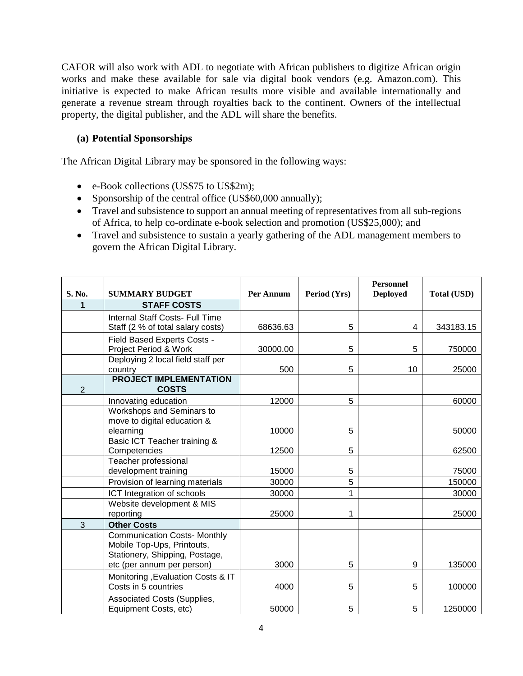CAFOR will also work with ADL to negotiate with African publishers to digitize African origin works and make these available for sale via digital book vendors (e.g. Amazon.com). This initiative is expected to make African results more visible and available internationally and generate a revenue stream through royalties back to the continent. Owners of the intellectual property, the digital publisher, and the ADL will share the benefits.

# **(a) Potential Sponsorships**

The African Digital Library may be sponsored in the following ways:

- e-Book collections (US\$75 to US\$2m);
- Sponsorship of the central office (US\$60,000 annually);
- Travel and subsistence to support an annual meeting of representatives from all sub-regions of Africa, to help co-ordinate e-book selection and promotion (US\$25,000); and
- Travel and subsistence to sustain a yearly gathering of the ADL management members to govern the African Digital Library.

| S. No.         | <b>SUMMARY BUDGET</b>                                                                                                             | Per Annum | Period (Yrs) | <b>Personnel</b><br><b>Deployed</b> | <b>Total (USD)</b> |
|----------------|-----------------------------------------------------------------------------------------------------------------------------------|-----------|--------------|-------------------------------------|--------------------|
| 1              | <b>STAFF COSTS</b>                                                                                                                |           |              |                                     |                    |
|                | Internal Staff Costs- Full Time                                                                                                   |           |              |                                     |                    |
|                | Staff (2 % of total salary costs)                                                                                                 | 68636.63  | 5            | 4                                   | 343183.15          |
|                | Field Based Experts Costs -<br>Project Period & Work                                                                              | 30000.00  | 5            | 5                                   | 750000             |
|                | Deploying 2 local field staff per<br>country                                                                                      | 500       | 5            | 10                                  | 25000              |
| $\overline{2}$ | <b>PROJECT IMPLEMENTATION</b><br><b>COSTS</b>                                                                                     |           |              |                                     |                    |
|                | Innovating education                                                                                                              | 12000     | 5            |                                     | 60000              |
|                | Workshops and Seminars to<br>move to digital education &                                                                          |           |              |                                     |                    |
|                | elearning                                                                                                                         | 10000     | 5            |                                     | 50000              |
|                | Basic ICT Teacher training &<br>Competencies                                                                                      | 12500     | 5            |                                     | 62500              |
|                | Teacher professional<br>development training                                                                                      | 15000     | 5            |                                     | 75000              |
|                | Provision of learning materials                                                                                                   | 30000     | 5            |                                     | 150000             |
|                | ICT Integration of schools                                                                                                        | 30000     | 1            |                                     | 30000              |
|                | Website development & MIS<br>reporting                                                                                            | 25000     | 1            |                                     | 25000              |
| 3              | <b>Other Costs</b>                                                                                                                |           |              |                                     |                    |
|                | <b>Communication Costs- Monthly</b><br>Mobile Top-Ups, Printouts,<br>Stationery, Shipping, Postage,<br>etc (per annum per person) | 3000      | 5            | 9                                   | 135000             |
|                | Monitoring , Evaluation Costs & IT<br>Costs in 5 countries                                                                        | 4000      | 5            | 5                                   | 100000             |
|                | <b>Associated Costs (Supplies,</b><br>Equipment Costs, etc)                                                                       | 50000     | 5            | 5                                   | 1250000            |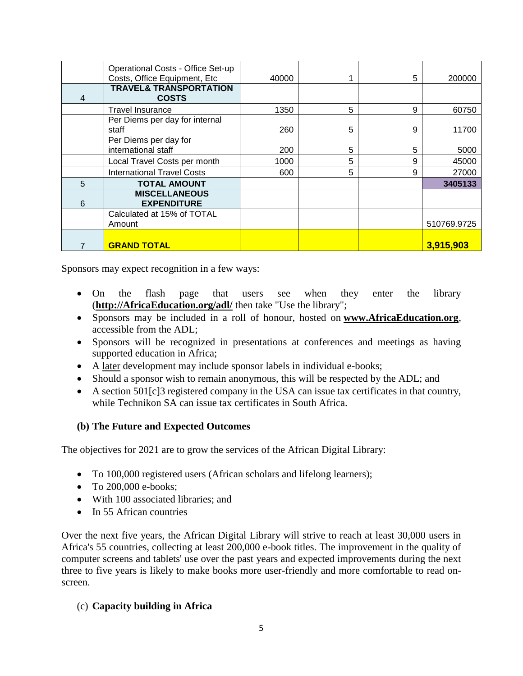|   | Operational Costs - Office Set-up<br>Costs, Office Equipment, Etc | 40000 |   | 5 | 200000      |
|---|-------------------------------------------------------------------|-------|---|---|-------------|
| 4 | <b>TRAVEL&amp; TRANSPORTATION</b><br><b>COSTS</b>                 |       |   |   |             |
|   | <b>Travel Insurance</b>                                           | 1350  | 5 | 9 | 60750       |
|   | Per Diems per day for internal                                    |       |   |   |             |
|   | staff                                                             | 260   | 5 | 9 | 11700       |
|   | Per Diems per day for                                             |       |   |   |             |
|   | international staff                                               | 200   | 5 | 5 | 5000        |
|   | Local Travel Costs per month                                      | 1000  | 5 | 9 | 45000       |
|   | <b>International Travel Costs</b>                                 | 600   | 5 | 9 | 27000       |
| 5 | <b>TOTAL AMOUNT</b>                                               |       |   |   | 3405133     |
|   | <b>MISCELLANEOUS</b>                                              |       |   |   |             |
| 6 | <b>EXPENDITURE</b>                                                |       |   |   |             |
|   | Calculated at 15% of TOTAL                                        |       |   |   |             |
|   | Amount                                                            |       |   |   | 510769.9725 |
|   |                                                                   |       |   |   |             |
|   | <b>GRAND TOTAL</b>                                                |       |   |   | 3,915,903   |

Sponsors may expect recognition in a few ways:

- On the flash page that users see when they enter the library (**[http://AfricaEducation.org/adl/](http://africaeducation.org/adl/)** then take "Use the library";
- Sponsors may be included in a roll of honour, hosted on **[www.AfricaEducation.org](http://www.africaeducation.org/)**, accessible from the ADL;
- Sponsors will be recognized in presentations at conferences and meetings as having supported education in Africa;
- A later development may include sponsor labels in individual e-books;
- Should a sponsor wish to remain anonymous, this will be respected by the ADL; and
- A section 501[c]3 registered company in the USA can issue tax certificates in that country, while Technikon SA can issue tax certificates in South Africa.

# **(b) The Future and Expected Outcomes**

The objectives for 2021 are to grow the services of the African Digital Library:

- To 100,000 registered users (African scholars and lifelong learners);
- $\bullet$  To 200,000 e-books;
- With 100 associated libraries; and
- In 55 African countries

Over the next five years, the African Digital Library will strive to reach at least 30,000 users in Africa's 55 countries, collecting at least 200,000 e-book titles. The improvement in the quality of computer screens and tablets' use over the past years and expected improvements during the next three to five years is likely to make books more user-friendly and more comfortable to read onscreen.

# (c) **Capacity building in Africa**